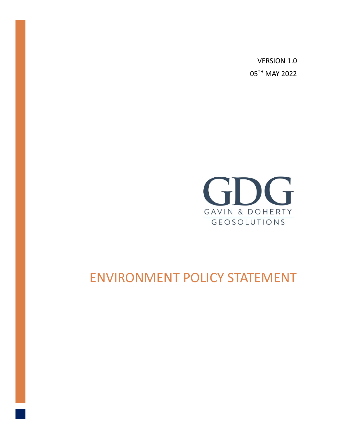VERSION 1.0 05TH MAY 2022



## ENVIRONMENT POLICY STATEMENT